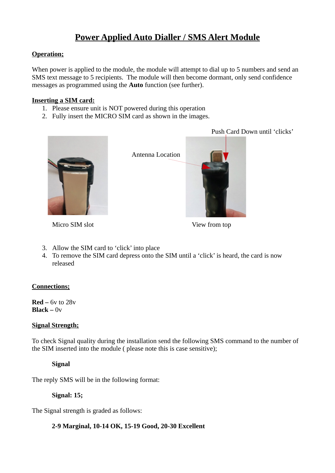# **Power Applied Auto Dialler / SMS Alert Module**

# **Operation;**

When power is applied to the module, the module will attempt to dial up to 5 numbers and send an SMS text message to 5 recipients. The module will then become dormant, only send confidence messages as programmed using the **Auto** function (see further).

# **Inserting a SIM card:**

- 1. Please ensure unit is NOT powered during this operation
- 2. Fully insert the MICRO SIM card as shown in the images.



Antenna Location

Micro SIM slot View from top

Push Card Down until 'clicks'

- 3. Allow the SIM card to 'click' into place
- 4. To remove the SIM card depress onto the SIM until a 'click' is heard, the card is now released

# **Connections;**

**Red –** 6v to 28v  $Black - 0v$ 

# **Signal Strength;**

To check Signal quality during the installation send the following SMS command to the number of the SIM inserted into the module ( please note this is case sensitive);

**Signal**

The reply SMS will be in the following format:

**Signal: 15;**

The Signal strength is graded as follows:

# **2-9 Marginal, 10-14 OK, 15-19 Good, 20-30 Excellent**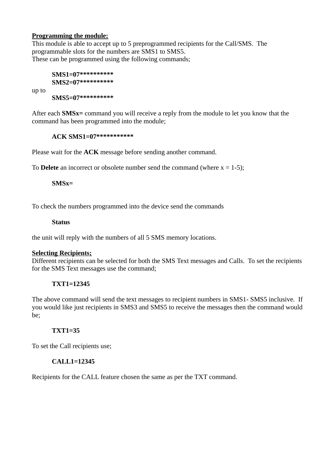# **Programming the module:**

up to

This module is able to accept up to 5 preprogrammed recipients for the Call/SMS. The programmable slots for the numbers are SMS1 to SMS5. These can be programmed using the following commands;

# **SMS1=07\*\*\*\*\*\*\*\*\*\* SMS2=07\*\*\*\*\*\*\*\*\*\***

**SMS5=07\*\*\*\*\*\*\*\*\*\***

After each **SMSx=** command you will receive a reply from the module to let you know that the command has been programmed into the module;

#### **ACK SMS1=07\*\*\*\*\*\*\*\*\*\*\***

Please wait for the **ACK** message before sending another command.

To **Delete** an incorrect or obsolete number send the command (where  $x = 1-5$ );

**SMSx=**

To check the numbers programmed into the device send the commands

#### **Status**

the unit will reply with the numbers of all 5 SMS memory locations.

#### **Selecting Recipients;**

Different recipients can be selected for both the SMS Text messages and Calls. To set the recipients for the SMS Text messages use the command;

# **TXT1=12345**

The above command will send the text messages to recipient numbers in SMS1- SMS5 inclusive. If you would like just recipients in SMS3 and SMS5 to receive the messages then the command would be;

# **TXT1=35**

To set the Call recipients use;

# **CALL1=12345**

Recipients for the CALL feature chosen the same as per the TXT command.